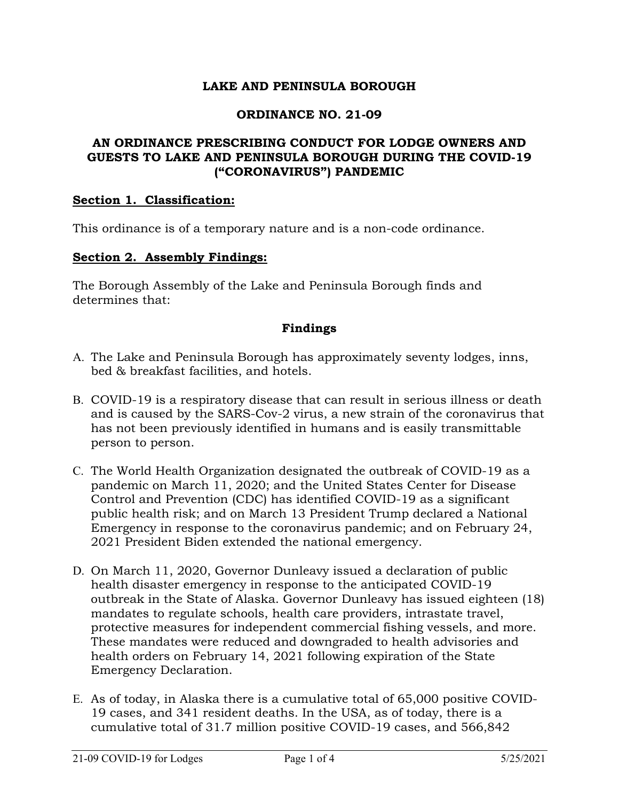## **LAKE AND PENINSULA BOROUGH**

### **ORDINANCE NO. 21-09**

## **AN ORDINANCE PRESCRIBING CONDUCT FOR LODGE OWNERS AND GUESTS TO LAKE AND PENINSULA BOROUGH DURING THE COVID-19 ("CORONAVIRUS") PANDEMIC**

#### **Section 1. Classification:**

This ordinance is of a temporary nature and is a non-code ordinance.

#### **Section 2. Assembly Findings:**

The Borough Assembly of the Lake and Peninsula Borough finds and determines that:

## **Findings**

- A. The Lake and Peninsula Borough has approximately seventy lodges, inns, bed & breakfast facilities, and hotels.
- B. COVID-19 is a respiratory disease that can result in serious illness or death and is caused by the SARS-Cov-2 virus, a new strain of the coronavirus that has not been previously identified in humans and is easily transmittable person to person.
- C. The World Health Organization designated the outbreak of COVID-19 as a pandemic on March 11, 2020; and the United States Center for Disease Control and Prevention (CDC) has identified COVID-19 as a significant public health risk; and on March 13 President Trump declared a National Emergency in response to the coronavirus pandemic; and on February 24, 2021 President Biden extended the national emergency.
- D. On March 11, 2020, Governor Dunleavy issued a declaration of public health disaster emergency in response to the anticipated COVID-19 outbreak in the State of Alaska. Governor Dunleavy has issued eighteen (18) mandates to regulate schools, health care providers, intrastate travel, protective measures for independent commercial fishing vessels, and more. These mandates were reduced and downgraded to health advisories and health orders on February 14, 2021 following expiration of the State Emergency Declaration.
- E. As of today, in Alaska there is a cumulative total of 65,000 positive COVID-19 cases, and 341 resident deaths. In the USA, as of today, there is a cumulative total of 31.7 million positive COVID-19 cases, and 566,842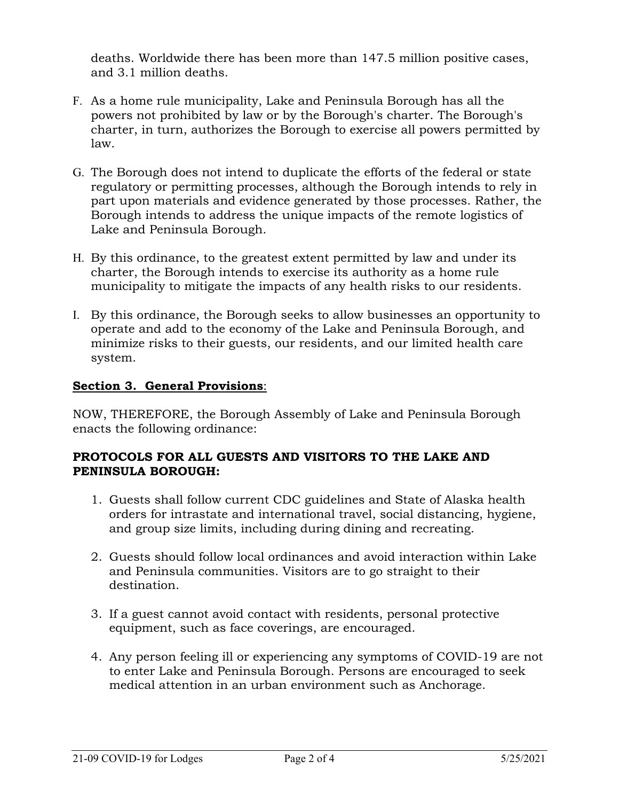deaths. Worldwide there has been more than 147.5 million positive cases, and 3.1 million deaths.

- F. As a home rule municipality, Lake and Peninsula Borough has all the powers not prohibited by law or by the Borough's charter. The Borough's charter, in turn, authorizes the Borough to exercise all powers permitted by law.
- G. The Borough does not intend to duplicate the efforts of the federal or state regulatory or permitting processes, although the Borough intends to rely in part upon materials and evidence generated by those processes. Rather, the Borough intends to address the unique impacts of the remote logistics of Lake and Peninsula Borough.
- H. By this ordinance, to the greatest extent permitted by law and under its charter, the Borough intends to exercise its authority as a home rule municipality to mitigate the impacts of any health risks to our residents.
- I. By this ordinance, the Borough seeks to allow businesses an opportunity to operate and add to the economy of the Lake and Peninsula Borough, and minimize risks to their guests, our residents, and our limited health care system.

# **Section 3. General Provisions**:

NOW, THEREFORE, the Borough Assembly of Lake and Peninsula Borough enacts the following ordinance:

## **PROTOCOLS FOR ALL GUESTS AND VISITORS TO THE LAKE AND PENINSULA BOROUGH:**

- 1. Guests shall follow current CDC guidelines and State of Alaska health orders for intrastate and international travel, social distancing, hygiene, and group size limits, including during dining and recreating.
- 2. Guests should follow local ordinances and avoid interaction within Lake and Peninsula communities. Visitors are to go straight to their destination.
- 3. If a guest cannot avoid contact with residents, personal protective equipment, such as face coverings, are encouraged.
- 4. Any person feeling ill or experiencing any symptoms of COVID-19 are not to enter Lake and Peninsula Borough. Persons are encouraged to seek medical attention in an urban environment such as Anchorage.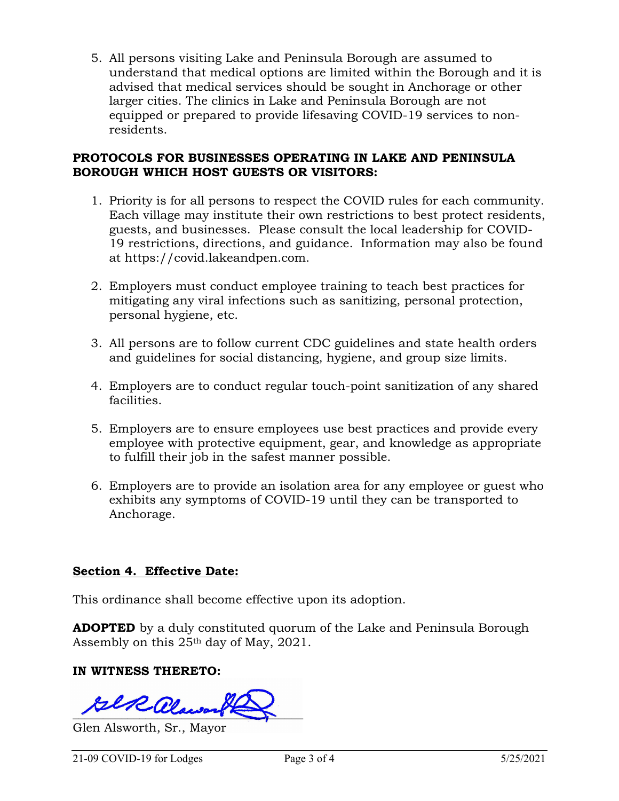5. All persons visiting Lake and Peninsula Borough are assumed to understand that medical options are limited within the Borough and it is advised that medical services should be sought in Anchorage or other larger cities. The clinics in Lake and Peninsula Borough are not equipped or prepared to provide lifesaving COVID-19 services to nonresidents.

## **PROTOCOLS FOR BUSINESSES OPERATING IN LAKE AND PENINSULA BOROUGH WHICH HOST GUESTS OR VISITORS:**

- 1. Priority is for all persons to respect the COVID rules for each community. Each village may institute their own restrictions to best protect residents, guests, and businesses. Please consult the local leadership for COVID-19 restrictions, directions, and guidance. Information may also be found at https://covid.lakeandpen.com.
- 2. Employers must conduct employee training to teach best practices for mitigating any viral infections such as sanitizing, personal protection, personal hygiene, etc.
- 3. All persons are to follow current CDC guidelines and state health orders and guidelines for social distancing, hygiene, and group size limits.
- 4. Employers are to conduct regular touch-point sanitization of any shared facilities.
- 5. Employers are to ensure employees use best practices and provide every employee with protective equipment, gear, and knowledge as appropriate to fulfill their job in the safest manner possible.
- 6. Employers are to provide an isolation area for any employee or guest who exhibits any symptoms of COVID-19 until they can be transported to Anchorage.

# **Section 4. Effective Date:**

This ordinance shall become effective upon its adoption.

**ADOPTED** by a duly constituted quorum of the Lake and Peninsula Borough Assembly on this 25th day of May, 2021.

## **IN WITNESS THERETO:**

 $\text{RilR}$  alawso

Glen Alsworth, Sr., Mayor